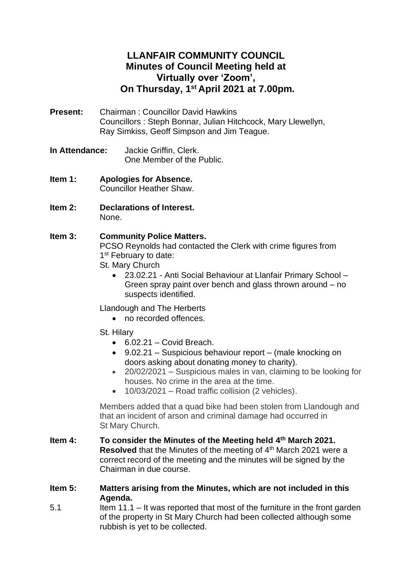# **LLANFAIR COMMUNITY COUNCIL Minutes of Council Meeting held at Virtually over 'Zoom', On Thursday, 1 st April 2021 at 7.00pm.**

- **Present:** Chairman : Councillor David Hawkins Councillors : Steph Bonnar, Julian Hitchcock, Mary Llewellyn, Ray Simkiss, Geoff Simpson and Jim Teague.
- **In Attendance:** Jackie Griffin, Clerk. One Member of the Public.
- **Item 1: Apologies for Absence.** Councillor Heather Shaw.
- **Item 2: Declarations of Interest.** None.
- **Item 3: Community Police Matters.** PCSO Reynolds had contacted the Clerk with crime figures from 1<sup>st</sup> February to date:
	- St. Mary Church
		- 23.02.21 Anti Social Behaviour at Llanfair Primary School Green spray paint over bench and glass thrown around – no suspects identified.
	- Llandough and The Herberts
		- no recorded offences.
	- St. Hilary
		- $\bullet$  6.02.21 Covid Breach.
		- 9.02.21 Suspicious behaviour report (male knocking on doors asking about donating money to charity).
		- 20/02/2021 Suspicious males in van, claiming to be looking for houses. No crime in the area at the time.
		- 10/03/2021 Road traffic collision (2 vehicles).

Members added that a quad bike had been stolen from Llandough and that an incident of arson and criminal damage had occurred in St Mary Church.

- **Item 4: To consider the Minutes of the Meeting held 4 th March 2021.** Resolved that the Minutes of the meeting of 4<sup>th</sup> March 2021 were a correct record of the meeting and the minutes will be signed by the Chairman in due course.
- **Item 5: Matters arising from the Minutes, which are not included in this Agenda.**
- 5.1 Item 11.1 It was reported that most of the furniture in the front garden of the property in St Mary Church had been collected although some rubbish is yet to be collected.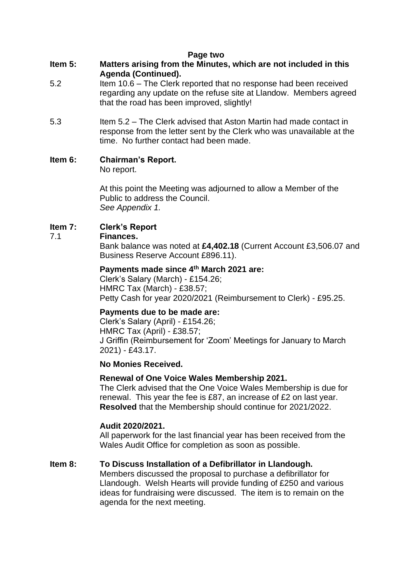#### **Page two**

- **Item 5: Matters arising from the Minutes, which are not included in this Agenda (Continued).**
- 5.2 Item 10.6 The Clerk reported that no response had been received regarding any update on the refuse site at Llandow. Members agreed that the road has been improved, slightly!
- 5.3 Item 5.2 The Clerk advised that Aston Martin had made contact in response from the letter sent by the Clerk who was unavailable at the time. No further contact had been made.

### **Item 6: Chairman's Report.**

No report.

At this point the Meeting was adjourned to allow a Member of the Public to address the Council. *See Appendix 1.*

# **Item 7: Clerk's Report**

#### 7.1 **Finances.**

Bank balance was noted at **£4,402.18** (Current Account £3,506.07 and Business Reserve Account £896.11).

#### **Payments made since 4 th March 2021 are:**

Clerk's Salary (March) - £154.26; HMRC Tax (March) - £38.57; Petty Cash for year 2020/2021 (Reimbursement to Clerk) - £95.25.

#### **Payments due to be made are:**

Clerk's Salary (April) - £154.26; HMRC Tax (April) - £38.57; J Griffin (Reimbursement for 'Zoom' Meetings for January to March 2021) - £43.17.

#### **No Monies Received.**

# **Renewal of One Voice Wales Membership 2021.**

The Clerk advised that the One Voice Wales Membership is due for renewal. This year the fee is £87, an increase of £2 on last year. **Resolved** that the Membership should continue for 2021/2022.

#### **Audit 2020/2021.**

All paperwork for the last financial year has been received from the Wales Audit Office for completion as soon as possible.

# **Item 8: To Discuss Installation of a Defibrillator in Llandough.**

Members discussed the proposal to purchase a defibrillator for Llandough. Welsh Hearts will provide funding of £250 and various ideas for fundraising were discussed. The item is to remain on the agenda for the next meeting.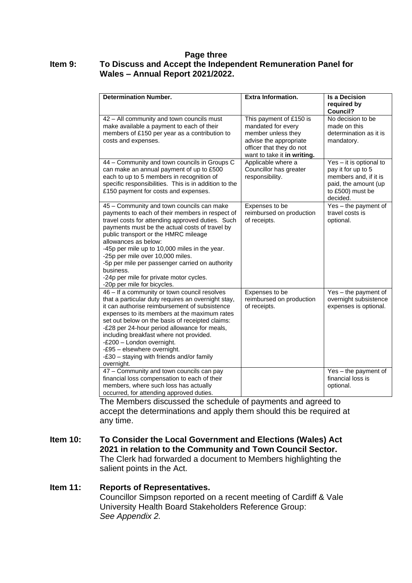#### **Page three Item 9: To Discuss and Accept the Independent Remuneration Panel for Wales – Annual Report 2021/2022.**

| <b>Determination Number.</b>                                                                                                                                                                                                                                                                                                                                                                                                                                                                      | <b>Extra Information.</b>                                                                                                                                | <b>Is a Decision</b>                                                                                                           |
|---------------------------------------------------------------------------------------------------------------------------------------------------------------------------------------------------------------------------------------------------------------------------------------------------------------------------------------------------------------------------------------------------------------------------------------------------------------------------------------------------|----------------------------------------------------------------------------------------------------------------------------------------------------------|--------------------------------------------------------------------------------------------------------------------------------|
|                                                                                                                                                                                                                                                                                                                                                                                                                                                                                                   |                                                                                                                                                          | required by<br>Council?                                                                                                        |
| 42 - All community and town councils must<br>make available a payment to each of their<br>members of £150 per year as a contribution to<br>costs and expenses.                                                                                                                                                                                                                                                                                                                                    | This payment of £150 is<br>mandated for every<br>member unless they<br>advise the appropriate<br>officer that they do not<br>want to take it in writing. | No decision to be<br>made on this<br>determination as it is<br>mandatory.                                                      |
| 44 - Community and town councils in Groups C<br>can make an annual payment of up to £500<br>each to up to 5 members in recognition of<br>specific responsibilities. This is in addition to the<br>£150 payment for costs and expenses.                                                                                                                                                                                                                                                            | Applicable where a<br>Councillor has greater<br>responsibility.                                                                                          | Yes - it is optional to<br>pay it for up to 5<br>members and, if it is<br>paid, the amount (up<br>to £500) must be<br>decided. |
| 45 - Community and town councils can make<br>payments to each of their members in respect of<br>travel costs for attending approved duties. Such<br>payments must be the actual costs of travel by<br>public transport or the HMRC mileage<br>allowances as below:<br>-45p per mile up to 10,000 miles in the year.<br>-25p per mile over 10,000 miles.<br>-5p per mile per passenger carried on authority<br>business.<br>-24p per mile for private motor cycles.<br>-20p per mile for bicycles. | Expenses to be<br>reimbursed on production<br>of receipts.                                                                                               | Yes - the payment of<br>travel costs is<br>optional.                                                                           |
| 46 - If a community or town council resolves<br>that a particular duty requires an overnight stay,<br>it can authorise reimbursement of subsistence<br>expenses to its members at the maximum rates<br>set out below on the basis of receipted claims:<br>-£28 per 24-hour period allowance for meals,<br>including breakfast where not provided.<br>-£200 - London overnight.<br>-£95 - elsewhere overnight.<br>-£30 - staying with friends and/or family<br>overnight.                          | Expenses to be<br>reimbursed on production<br>of receipts.                                                                                               | Yes - the payment of<br>overnight subsistence<br>expenses is optional.                                                         |
| 47 - Community and town councils can pay<br>financial loss compensation to each of their<br>members, where such loss has actually<br>occurred, for attending approved duties.                                                                                                                                                                                                                                                                                                                     |                                                                                                                                                          | Yes - the payment of<br>financial loss is<br>optional.                                                                         |

The Members discussed the schedule of payments and agreed to accept the determinations and apply them should this be required at any time.

**Item 10: To Consider the Local Government and Elections (Wales) Act 2021 in relation to the Community and Town Council Sector.** The Clerk had forwarded a document to Members highlighting the salient points in the Act.

**Item 11: Reports of Representatives.** 

Councillor Simpson reported on a recent meeting of Cardiff & Vale University Health Board Stakeholders Reference Group: *See Appendix 2.*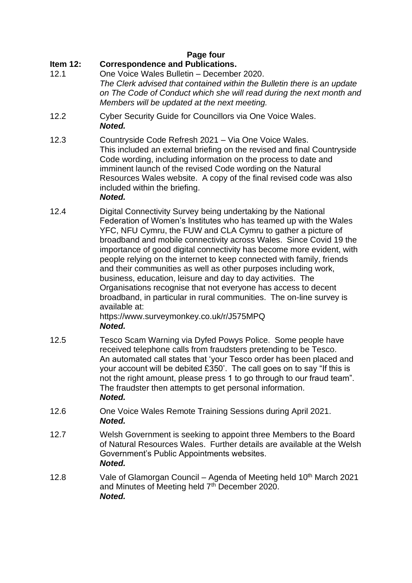# **Page four**

# **Item 12: Correspondence and Publications.**

- 12.1 One Voice Wales Bulletin December 2020. *The Clerk advised that contained within the Bulletin there is an update on The Code of Conduct which she will read during the next month and Members will be updated at the next meeting.*
- 12.2 Cyber Security Guide for Councillors via One Voice Wales. *Noted.*
- 12.3 Countryside Code Refresh 2021 Via One Voice Wales. This included an external briefing on the revised and final Countryside Code wording, including information on the process to date and imminent launch of the revised Code wording on the Natural Resources Wales website. A copy of the final revised code was also included within the briefing.

### *Noted.*

12.4 Digital Connectivity Survey being undertaking by the National Federation of Women's Institutes who has teamed up with the Wales YFC, NFU Cymru, the FUW and CLA Cymru to gather a picture of broadband and mobile connectivity across Wales. Since Covid 19 the importance of good digital connectivity has become more evident, with people relying on the internet to keep connected with family, friends and their communities as well as other purposes including work, business, education, leisure and day to day activities. The Organisations recognise that not everyone has access to decent broadband, in particular in rural communities. The on-line survey is available at:

https://www.surveymonkey.co.uk/r/J575MPQ *Noted.*

- 12.5 Tesco Scam Warning via Dyfed Powys Police. Some people have received telephone calls from fraudsters pretending to be Tesco. An automated call states that 'your Tesco order has been placed and your account will be debited £350'. The call goes on to say "If this is not the right amount, please press 1 to go through to our fraud team". The fraudster then attempts to get personal information. *Noted.*
- 12.6 One Voice Wales Remote Training Sessions during April 2021. *Noted.*
- 12.7 Welsh Government is seeking to appoint three Members to the Board of Natural Resources Wales. Further details are available at the Welsh Government's Public Appointments websites. *Noted.*
- 12.8 Vale of Glamorgan Council Agenda of Meeting held  $10<sup>th</sup>$  March 2021 and Minutes of Meeting held 7<sup>th</sup> December 2020. *Noted.*